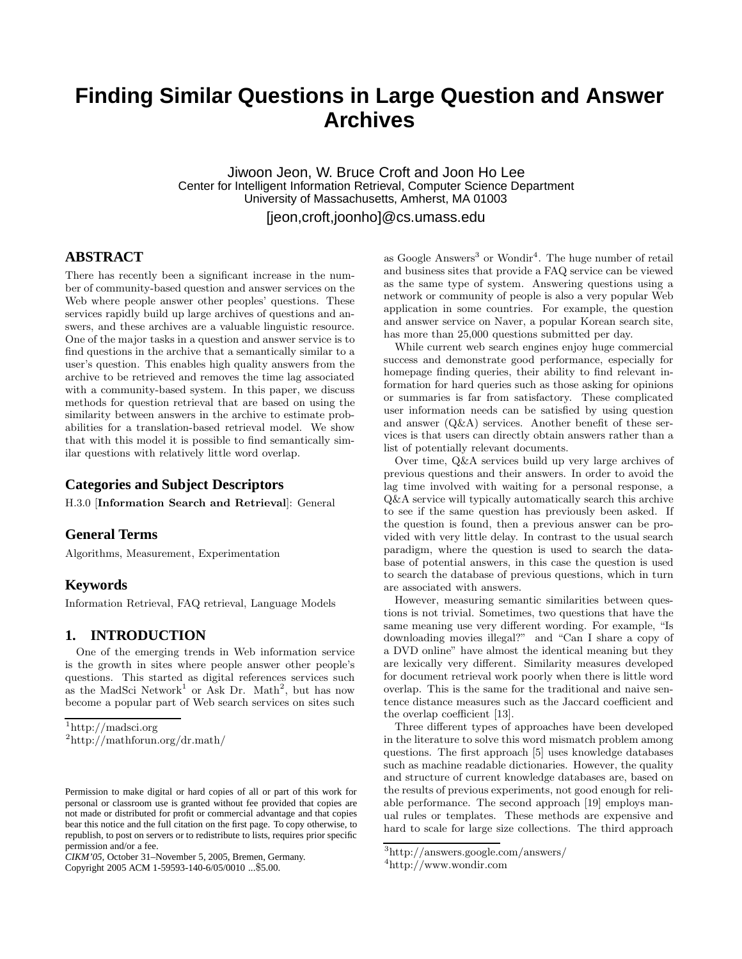# **Finding Similar Questions in Large Question and Answer Archives**

Jiwoon Jeon, W. Bruce Croft and Joon Ho Lee Center for Intelligent Information Retrieval, Computer Science Department University of Massachusetts, Amherst, MA 01003

[jeon,croft,joonho]@cs.umass.edu

# **ABSTRACT**

There has recently been a significant increase in the number of community-based question and answer services on the Web where people answer other peoples' questions. These services rapidly build up large archives of questions and answers, and these archives are a valuable linguistic resource. One of the major tasks in a question and answer service is to find questions in the archive that a semantically similar to a user's question. This enables high quality answers from the archive to be retrieved and removes the time lag associated with a community-based system. In this paper, we discuss methods for question retrieval that are based on using the similarity between answers in the archive to estimate probabilities for a translation-based retrieval model. We show that with this model it is possible to find semantically similar questions with relatively little word overlap.

## **Categories and Subject Descriptors**

H.3.0 [**Information Search and Retrieval**]: General

# **General Terms**

Algorithms, Measurement, Experimentation

# **Keywords**

Information Retrieval, FAQ retrieval, Language Models

# **1. INTRODUCTION**

One of the emerging trends in Web information service is the growth in sites where people answer other people's questions. This started as digital references services such as the MadSci Network<sup>1</sup> or Ask Dr. Math<sup>2</sup>, but has now become a popular part of Web search services on sites such

Copyright 2005 ACM 1-59593-140-6/05/0010 ...\$5.00.

as Google Answers<sup>3</sup> or Wondir<sup>4</sup>. The huge number of retail and business sites that provide a FAQ service can be viewed as the same type of system. Answering questions using a network or community of people is also a very popular Web application in some countries. For example, the question and answer service on Naver, a popular Korean search site, has more than 25,000 questions submitted per day.

While current web search engines enjoy huge commercial success and demonstrate good performance, especially for homepage finding queries, their ability to find relevant information for hard queries such as those asking for opinions or summaries is far from satisfactory. These complicated user information needs can be satisfied by using question and answer (Q&A) services. Another benefit of these services is that users can directly obtain answers rather than a list of potentially relevant documents.

Over time, Q&A services build up very large archives of previous questions and their answers. In order to avoid the lag time involved with waiting for a personal response, a Q&A service will typically automatically search this archive to see if the same question has previously been asked. If the question is found, then a previous answer can be provided with very little delay. In contrast to the usual search paradigm, where the question is used to search the database of potential answers, in this case the question is used to search the database of previous questions, which in turn are associated with answers.

However, measuring semantic similarities between questions is not trivial. Sometimes, two questions that have the same meaning use very different wording. For example, "Is downloading movies illegal?" and "Can I share a copy of a DVD online" have almost the identical meaning but they are lexically very different. Similarity measures developed for document retrieval work poorly when there is little word overlap. This is the same for the traditional and naive sentence distance measures such as the Jaccard coefficient and the overlap coefficient [13].

Three different types of approaches have been developed in the literature to solve this word mismatch problem among questions. The first approach [5] uses knowledge databases such as machine readable dictionaries. However, the quality and structure of current knowledge databases are, based on the results of previous experiments, not good enough for reliable performance. The second approach [19] employs manual rules or templates. These methods are expensive and hard to scale for large size collections. The third approach

 $1$ http://madsci.org

<sup>2</sup>http://mathforun.org/dr.math/

Permission to make digital or hard copies of all or part of this work for personal or classroom use is granted without fee provided that copies are not made or distributed for profit or commercial advantage and that copies bear this notice and the full citation on the first page. To copy otherwise, to republish, to post on servers or to redistribute to lists, requires prior specific permission and/or a fee.

*CIKM'05,* October 31–November 5, 2005, Bremen, Germany.

<sup>3</sup>http://answers.google.com/answers/

<sup>4</sup>http://www.wondir.com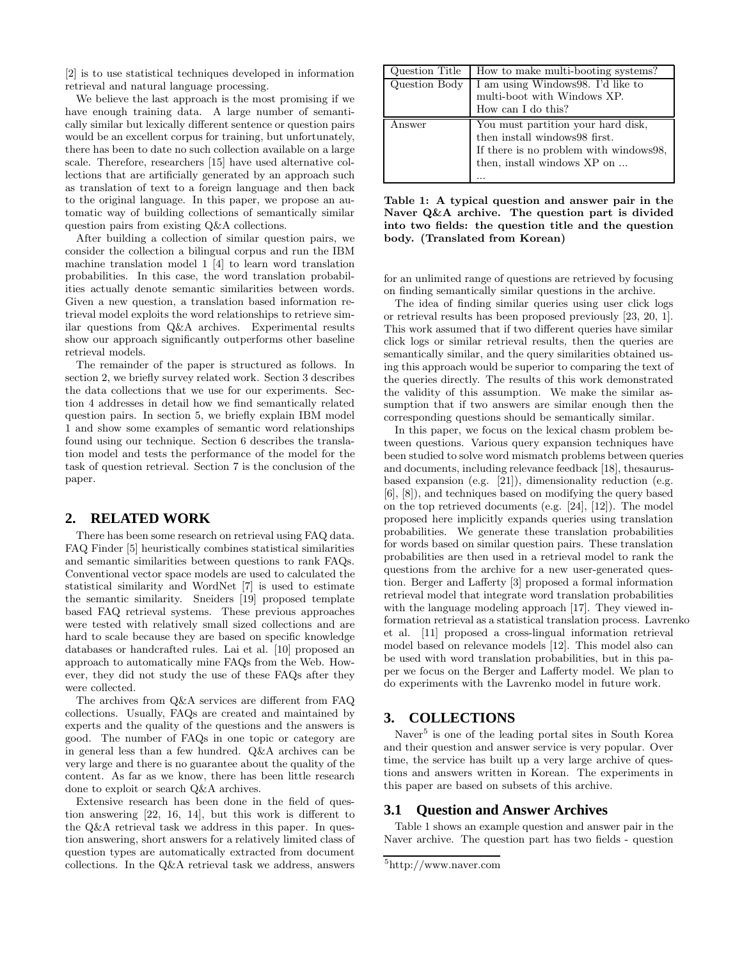[2] is to use statistical techniques developed in information retrieval and natural language processing.

We believe the last approach is the most promising if we have enough training data. A large number of semantically similar but lexically different sentence or question pairs would be an excellent corpus for training, but unfortunately, there has been to date no such collection available on a large scale. Therefore, researchers [15] have used alternative collections that are artificially generated by an approach such as translation of text to a foreign language and then back to the original language. In this paper, we propose an automatic way of building collections of semantically similar question pairs from existing Q&A collections.

After building a collection of similar question pairs, we consider the collection a bilingual corpus and run the IBM machine translation model 1 [4] to learn word translation probabilities. In this case, the word translation probabilities actually denote semantic similarities between words. Given a new question, a translation based information retrieval model exploits the word relationships to retrieve similar questions from Q&A archives. Experimental results show our approach significantly outperforms other baseline retrieval models.

The remainder of the paper is structured as follows. In section 2, we briefly survey related work. Section 3 describes the data collections that we use for our experiments. Section 4 addresses in detail how we find semantically related question pairs. In section 5, we briefly explain IBM model 1 and show some examples of semantic word relationships found using our technique. Section 6 describes the translation model and tests the performance of the model for the task of question retrieval. Section 7 is the conclusion of the paper.

#### **2. RELATED WORK**

There has been some research on retrieval using FAQ data. FAQ Finder [5] heuristically combines statistical similarities and semantic similarities between questions to rank FAQs. Conventional vector space models are used to calculated the statistical similarity and WordNet [7] is used to estimate the semantic similarity. Sneiders [19] proposed template based FAQ retrieval systems. These previous approaches were tested with relatively small sized collections and are hard to scale because they are based on specific knowledge databases or handcrafted rules. Lai et al. [10] proposed an approach to automatically mine FAQs from the Web. However, they did not study the use of these FAQs after they were collected.

The archives from Q&A services are different from FAQ collections. Usually, FAQs are created and maintained by experts and the quality of the questions and the answers is good. The number of FAQs in one topic or category are in general less than a few hundred. Q&A archives can be very large and there is no guarantee about the quality of the content. As far as we know, there has been little research done to exploit or search Q&A archives.

Extensive research has been done in the field of question answering [22, 16, 14], but this work is different to the Q&A retrieval task we address in this paper. In question answering, short answers for a relatively limited class of question types are automatically extracted from document collections. In the Q&A retrieval task we address, answers

| Question Title | How to make multi-booting systems?                                                                                                           |
|----------------|----------------------------------------------------------------------------------------------------------------------------------------------|
| Question Body  | I am using Windows98. I'd like to<br>multi-boot with Windows XP. $\,$                                                                        |
|                | How can I do this?                                                                                                                           |
| nswer          | You must partition your hard disk,<br>then install windows98 first.<br>If there is no problem with windows98,<br>then, install windows XP on |

**Table 1: A typical question and answer pair in the Naver Q&A archive. The question part is divided into two fields: the question title and the question body. (Translated from Korean)**

for an unlimited range of questions are retrieved by focusing on finding semantically similar questions in the archive.

The idea of finding similar queries using user click logs or retrieval results has been proposed previously [23, 20, 1]. This work assumed that if two different queries have similar click logs or similar retrieval results, then the queries are semantically similar, and the query similarities obtained using this approach would be superior to comparing the text of the queries directly. The results of this work demonstrated the validity of this assumption. We make the similar assumption that if two answers are similar enough then the corresponding questions should be semantically similar.

In this paper, we focus on the lexical chasm problem between questions. Various query expansion techniques have been studied to solve word mismatch problems between queries and documents, including relevance feedback [18], thesaurusbased expansion (e.g. [21]), dimensionality reduction (e.g. [6], [8]), and techniques based on modifying the query based on the top retrieved documents (e.g. [24], [12]). The model proposed here implicitly expands queries using translation probabilities. We generate these translation probabilities for words based on similar question pairs. These translation probabilities are then used in a retrieval model to rank the questions from the archive for a new user-generated question. Berger and Lafferty [3] proposed a formal information retrieval model that integrate word translation probabilities with the language modeling approach [17]. They viewed information retrieval as a statistical translation process. Lavrenko et al. [11] proposed a cross-lingual information retrieval model based on relevance models [12]. This model also can be used with word translation probabilities, but in this paper we focus on the Berger and Lafferty model. We plan to do experiments with the Lavrenko model in future work.

# **3. COLLECTIONS**

Naver<sup>5</sup> is one of the leading portal sites in South Korea and their question and answer service is very popular. Over time, the service has built up a very large archive of questions and answers written in Korean. The experiments in this paper are based on subsets of this archive.

#### **3.1 Question and Answer Archives**

Table 1 shows an example question and answer pair in the Naver archive. The question part has two fields - question

 ${\rm ^5http://www.naver.com}$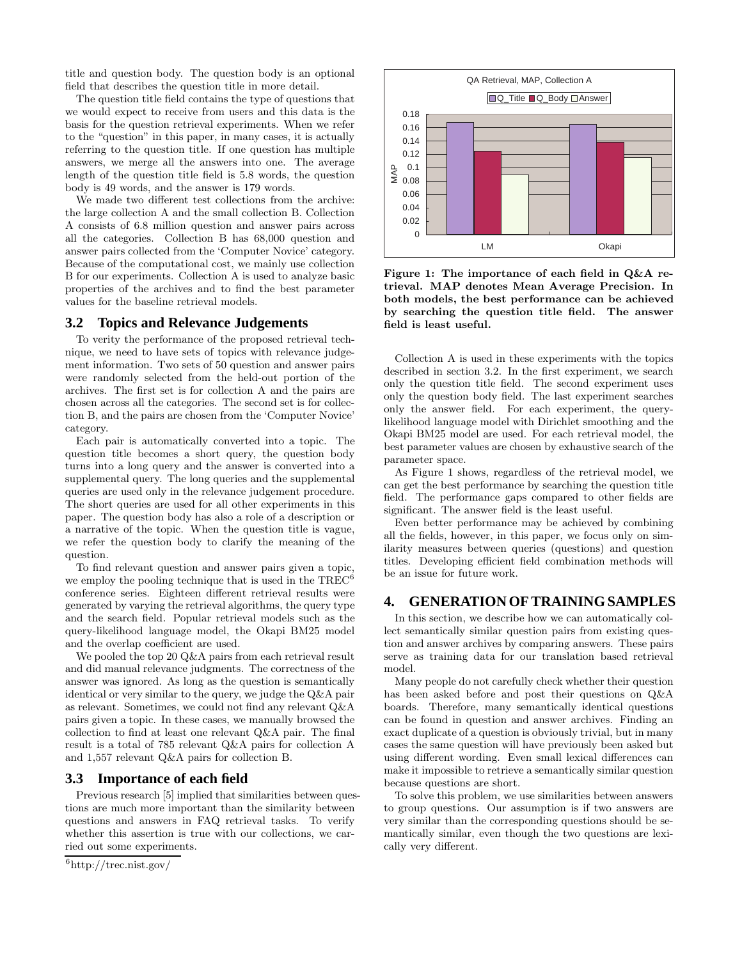title and question body. The question body is an optional field that describes the question title in more detail.

The question title field contains the type of questions that we would expect to receive from users and this data is the basis for the question retrieval experiments. When we refer to the "question" in this paper, in many cases, it is actually referring to the question title. If one question has multiple answers, we merge all the answers into one. The average length of the question title field is 5.8 words, the question body is 49 words, and the answer is 179 words.

We made two different test collections from the archive: the large collection A and the small collection B. Collection A consists of 6.8 million question and answer pairs across all the categories. Collection B has 68,000 question and answer pairs collected from the 'Computer Novice' category. Because of the computational cost, we mainly use collection B for our experiments. Collection A is used to analyze basic properties of the archives and to find the best parameter values for the baseline retrieval models.

#### **3.2 Topics and Relevance Judgements**

To verity the performance of the proposed retrieval technique, we need to have sets of topics with relevance judgement information. Two sets of 50 question and answer pairs were randomly selected from the held-out portion of the archives. The first set is for collection A and the pairs are chosen across all the categories. The second set is for collection B, and the pairs are chosen from the 'Computer Novice' category.

Each pair is automatically converted into a topic. The question title becomes a short query, the question body turns into a long query and the answer is converted into a supplemental query. The long queries and the supplemental queries are used only in the relevance judgement procedure. The short queries are used for all other experiments in this paper. The question body has also a role of a description or a narrative of the topic. When the question title is vague, we refer the question body to clarify the meaning of the question.

To find relevant question and answer pairs given a topic, we employ the pooling technique that is used in the  $\mathrm{TREC^6}$ conference series. Eighteen different retrieval results were generated by varying the retrieval algorithms, the query type and the search field. Popular retrieval models such as the query-likelihood language model, the Okapi BM25 model and the overlap coefficient are used.

We pooled the top 20 Q&A pairs from each retrieval result and did manual relevance judgments. The correctness of the answer was ignored. As long as the question is semantically identical or very similar to the query, we judge the Q&A pair as relevant. Sometimes, we could not find any relevant Q&A pairs given a topic. In these cases, we manually browsed the collection to find at least one relevant Q&A pair. The final result is a total of 785 relevant Q&A pairs for collection A and 1,557 relevant Q&A pairs for collection B.

## **3.3 Importance of each field**

Previous research [5] implied that similarities between questions are much more important than the similarity between questions and answers in FAQ retrieval tasks. To verify whether this assertion is true with our collections, we carried out some experiments.



**Figure 1: The importance of each field in Q&A retrieval. MAP denotes Mean Average Precision. In both models, the best performance can be achieved by searching the question title field. The answer field is least useful.**

Collection A is used in these experiments with the topics described in section 3.2. In the first experiment, we search only the question title field. The second experiment uses only the question body field. The last experiment searches only the answer field. For each experiment, the querylikelihood language model with Dirichlet smoothing and the Okapi BM25 model are used. For each retrieval model, the best parameter values are chosen by exhaustive search of the parameter space.

As Figure 1 shows, regardless of the retrieval model, we can get the best performance by searching the question title field. The performance gaps compared to other fields are significant. The answer field is the least useful.

Even better performance may be achieved by combining all the fields, however, in this paper, we focus only on similarity measures between queries (questions) and question titles. Developing efficient field combination methods will be an issue for future work.

# **4. GENERATION OF TRAINING SAMPLES**

In this section, we describe how we can automatically collect semantically similar question pairs from existing question and answer archives by comparing answers. These pairs serve as training data for our translation based retrieval model.

Many people do not carefully check whether their question has been asked before and post their questions on Q&A boards. Therefore, many semantically identical questions can be found in question and answer archives. Finding an exact duplicate of a question is obviously trivial, but in many cases the same question will have previously been asked but using different wording. Even small lexical differences can make it impossible to retrieve a semantically similar question because questions are short.

To solve this problem, we use similarities between answers to group questions. Our assumption is if two answers are very similar than the corresponding questions should be semantically similar, even though the two questions are lexically very different.

 $^6$ http://trec.nist.gov/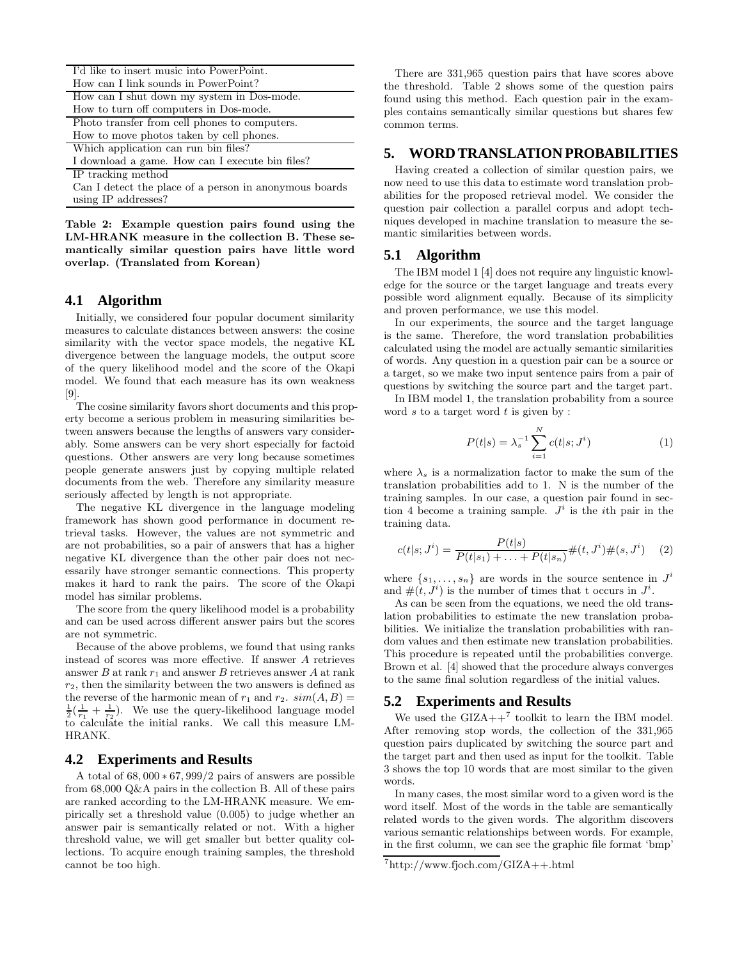| I'd like to insert music into PowerPoint.              |
|--------------------------------------------------------|
| How can I link sounds in PowerPoint?                   |
| How can I shut down my system in Dos-mode.             |
| How to turn off computers in Dos-mode.                 |
| Photo transfer from cell phones to computers.          |
| How to move photos taken by cell phones.               |
| Which application can run bin files?                   |
| I download a game. How can I execute bin files?        |
| IP tracking method                                     |
| Can I detect the place of a person in anonymous boards |
| using IP addresses?                                    |

**Table 2: Example question pairs found using the LM-HRANK measure in the collection B. These semantically similar question pairs have little word overlap. (Translated from Korean)**

# **4.1 Algorithm**

Initially, we considered four popular document similarity measures to calculate distances between answers: the cosine similarity with the vector space models, the negative KL divergence between the language models, the output score of the query likelihood model and the score of the Okapi model. We found that each measure has its own weakness [9].

The cosine similarity favors short documents and this property become a serious problem in measuring similarities between answers because the lengths of answers vary considerably. Some answers can be very short especially for factoid questions. Other answers are very long because sometimes people generate answers just by copying multiple related documents from the web. Therefore any similarity measure seriously affected by length is not appropriate.

The negative KL divergence in the language modeling framework has shown good performance in document retrieval tasks. However, the values are not symmetric and are not probabilities, so a pair of answers that has a higher negative KL divergence than the other pair does not necessarily have stronger semantic connections. This property makes it hard to rank the pairs. The score of the Okapi model has similar problems.

The score from the query likelihood model is a probability and can be used across different answer pairs but the scores are not symmetric.

Because of the above problems, we found that using ranks instead of scores was more effective. If answer A retrieves answer B at rank  $r_1$  and answer B retrieves answer A at rank  $r<sub>2</sub>$ , then the similarity between the two answers is defined as the reverse of the harmonic mean of  $r_1$  and  $r_2$ .  $sim(A, B)$  =  $\frac{1}{2}(\frac{1}{r_1} + \frac{1}{r_2})$ . We use the query-likelihood language model to calculate the initial ranks. We call this measure LM-HRANK.

#### **4.2 Experiments and Results**

A total of 68, 000 ∗ 67, 999/2 pairs of answers are possible from 68,000 Q&A pairs in the collection B. All of these pairs are ranked according to the LM-HRANK measure. We empirically set a threshold value (0.005) to judge whether an answer pair is semantically related or not. With a higher threshold value, we will get smaller but better quality collections. To acquire enough training samples, the threshold cannot be too high.

There are 331,965 question pairs that have scores above the threshold. Table 2 shows some of the question pairs found using this method. Each question pair in the examples contains semantically similar questions but shares few common terms.

#### **5. WORD TRANSLATION PROBABILITIES**

Having created a collection of similar question pairs, we now need to use this data to estimate word translation probabilities for the proposed retrieval model. We consider the question pair collection a parallel corpus and adopt techniques developed in machine translation to measure the semantic similarities between words.

#### **5.1 Algorithm**

The IBM model 1 [4] does not require any linguistic knowledge for the source or the target language and treats every possible word alignment equally. Because of its simplicity and proven performance, we use this model.

In our experiments, the source and the target language is the same. Therefore, the word translation probabilities calculated using the model are actually semantic similarities of words. Any question in a question pair can be a source or a target, so we make two input sentence pairs from a pair of questions by switching the source part and the target part.

In IBM model 1, the translation probability from a source word  $s$  to a target word  $t$  is given by :

$$
P(t|s) = \lambda_s^{-1} \sum_{i=1}^{N} c(t|s; J^i)
$$
 (1)

where  $\lambda_s$  is a normalization factor to make the sum of the translation probabilities add to 1. N is the number of the training samples. In our case, a question pair found in section 4 become a training sample.  $J^i$  is the *i*<sup>th</sup> pair in the training data.

$$
c(t|s; J^{i}) = \frac{P(t|s)}{P(t|s_1) + \ldots + P(t|s_n)} \#(t, J^{i}) \#(s, J^{i}) \tag{2}
$$

where  $\{s_1, \ldots, s_n\}$  are words in the source sentence in  $J^i$ and  $\#(t, J^i)$  is the number of times that t occurs in  $J^i$ .

As can be seen from the equations, we need the old translation probabilities to estimate the new translation probabilities. We initialize the translation probabilities with random values and then estimate new translation probabilities. This procedure is repeated until the probabilities converge. Brown et al. [4] showed that the procedure always converges to the same final solution regardless of the initial values.

# **5.2 Experiments and Results**

We used the  $GIZA++^7$  toolkit to learn the IBM model. After removing stop words, the collection of the 331,965 question pairs duplicated by switching the source part and the target part and then used as input for the toolkit. Table 3 shows the top 10 words that are most similar to the given words.

In many cases, the most similar word to a given word is the word itself. Most of the words in the table are semantically related words to the given words. The algorithm discovers various semantic relationships between words. For example, in the first column, we can see the graphic file format 'bmp'

<sup>7</sup>http://www.fjoch.com/GIZA++.html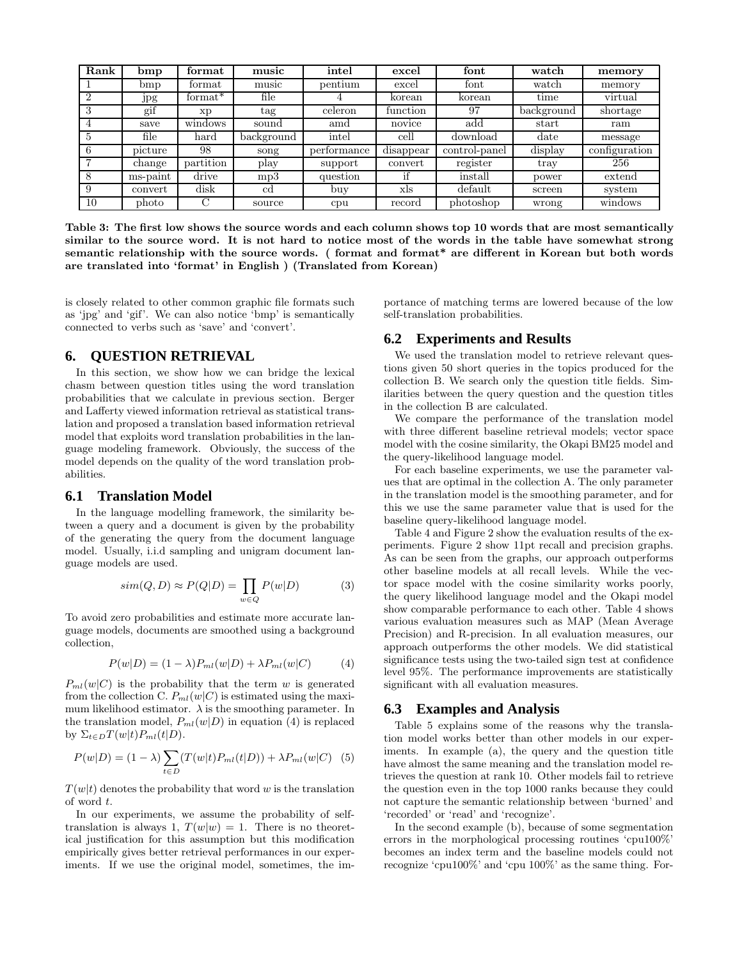| Rank           | bmp      | format    | music      | intel       | excel     | font          | watch                | memory        |
|----------------|----------|-----------|------------|-------------|-----------|---------------|----------------------|---------------|
|                | bmp      | format    | music      | pentium     | excel     | font          | watch                | memory        |
| $\overline{2}$ | jpg      | $format*$ | file       | 4           | korean    | korean        | time                 | virtual       |
| -3             | gif      | xp        | tag        | celeron     | function  | 97            | background           | shortage      |
| 4              | save     | windows   | sound      | amd         | novice    | add           | start                | ram           |
| 5              | file     | hard      | background | intel       | cell      | download      | date                 | message       |
| 6              | picture  | 98        | song       | performance | disappear | control-panel | $\overline{display}$ | configuration |
|                | change   | partition | play       | support     | convert   | register      | tray                 | 256           |
| 8              | ms-paint | drive     | mp3        | question    | if        | install       | power                | extend        |
| -9             | convert  | disk      | cd         | buy         | xls       | default       | screen               | system        |
| 10             | photo    | С         | source     | cpu         | record    | photoshop     | wrong                | windows       |

**Table 3: The first low shows the source words and each column shows top 10 words that are most semantically similar to the source word. It is not hard to notice most of the words in the table have somewhat strong semantic relationship with the source words. ( format and format\* are different in Korean but both words are translated into 'format' in English ) (Translated from Korean)**

is closely related to other common graphic file formats such as 'jpg' and 'gif'. We can also notice 'bmp' is semantically connected to verbs such as 'save' and 'convert'.

# **6. QUESTION RETRIEVAL**

In this section, we show how we can bridge the lexical chasm between question titles using the word translation probabilities that we calculate in previous section. Berger and Lafferty viewed information retrieval as statistical translation and proposed a translation based information retrieval model that exploits word translation probabilities in the language modeling framework. Obviously, the success of the model depends on the quality of the word translation probabilities.

## **6.1 Translation Model**

In the language modelling framework, the similarity between a query and a document is given by the probability of the generating the query from the document language model. Usually, i.i.d sampling and unigram document language models are used.

$$
sim(Q, D) \approx P(Q|D) = \prod_{w \in Q} P(w|D)
$$
 (3)

To avoid zero probabilities and estimate more accurate language models, documents are smoothed using a background collection,

$$
P(w|D) = (1 - \lambda)P_{ml}(w|D) + \lambda P_{ml}(w|C)
$$
 (4)

 $P_{ml}(w|C)$  is the probability that the term w is generated from the collection C.  $P_{ml}(w|C)$  is estimated using the maximum likelihood estimator.  $\lambda$  is the smoothing parameter. In the translation model,  $P_{ml}(w|D)$  in equation (4) is replaced by  $\Sigma_{t \in D} T(w|t) P_{ml}(t|D)$ .

$$
P(w|D) = (1 - \lambda) \sum_{t \in D} (T(w|t)P_{ml}(t|D)) + \lambda P_{ml}(w|C) \quad (5)
$$

 $T(w|t)$  denotes the probability that word w is the translation of word t.

In our experiments, we assume the probability of selftranslation is always 1,  $T(w|w) = 1$ . There is no theoretical justification for this assumption but this modification empirically gives better retrieval performances in our experiments. If we use the original model, sometimes, the importance of matching terms are lowered because of the low self-translation probabilities.

#### **6.2 Experiments and Results**

We used the translation model to retrieve relevant questions given 50 short queries in the topics produced for the collection B. We search only the question title fields. Similarities between the query question and the question titles in the collection B are calculated.

We compare the performance of the translation model with three different baseline retrieval models; vector space model with the cosine similarity, the Okapi BM25 model and the query-likelihood language model.

For each baseline experiments, we use the parameter values that are optimal in the collection A. The only parameter in the translation model is the smoothing parameter, and for this we use the same parameter value that is used for the baseline query-likelihood language model.

Table 4 and Figure 2 show the evaluation results of the experiments. Figure 2 show 11pt recall and precision graphs. As can be seen from the graphs, our approach outperforms other baseline models at all recall levels. While the vector space model with the cosine similarity works poorly, the query likelihood language model and the Okapi model show comparable performance to each other. Table 4 shows various evaluation measures such as MAP (Mean Average Precision) and R-precision. In all evaluation measures, our approach outperforms the other models. We did statistical significance tests using the two-tailed sign test at confidence level 95%. The performance improvements are statistically significant with all evaluation measures.

#### **6.3 Examples and Analysis**

Table 5 explains some of the reasons why the translation model works better than other models in our experiments. In example (a), the query and the question title have almost the same meaning and the translation model retrieves the question at rank 10. Other models fail to retrieve the question even in the top 1000 ranks because they could not capture the semantic relationship between 'burned' and 'recorded' or 'read' and 'recognize'.

In the second example (b), because of some segmentation errors in the morphological processing routines 'cpu100%' becomes an index term and the baseline models could not recognize 'cpu100%' and 'cpu 100%' as the same thing. For-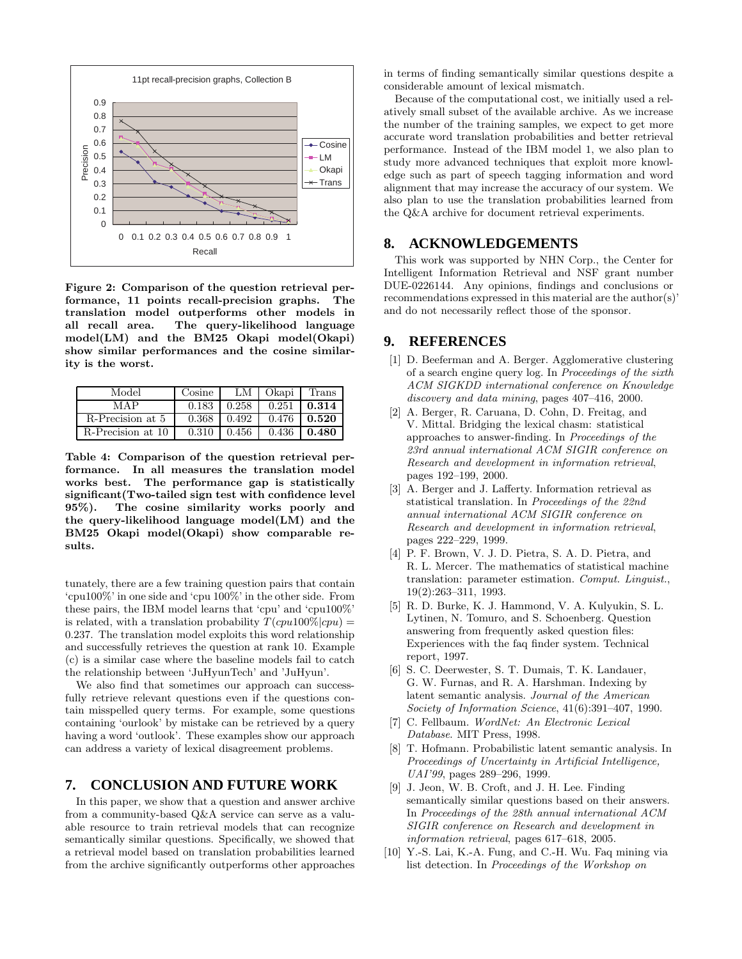

**Figure 2: Comparison of the question retrieval performance, 11 points recall-precision graphs. The translation model outperforms other models in all recall area. The query-likelihood language model(LM) and the BM25 Okapi model(Okapi) show similar performances and the cosine similarity is the worst.**

| Model             | Cosine | LМ    | Okapi | Trans |
|-------------------|--------|-------|-------|-------|
| MAP               | 0.183  | 0.258 | 0.251 | 0.314 |
| R-Precision at 5  | 0.368  | 0.492 | 0.476 | 0.520 |
| R-Precision at 10 | 0.310  | 0.456 | 0.436 | 0.480 |

**Table 4: Comparison of the question retrieval performance. In all measures the translation model works best. The performance gap is statistically significant(Two-tailed sign test with confidence level 95%). The cosine similarity works poorly and the query-likelihood language model(LM) and the BM25 Okapi model(Okapi) show comparable results.**

tunately, there are a few training question pairs that contain 'cpu100%' in one side and 'cpu 100%' in the other side. From these pairs, the IBM model learns that 'cpu' and 'cpu100%' is related, with a translation probability  $T(cpu100\%|cpu)$  = 0.237. The translation model exploits this word relationship and successfully retrieves the question at rank 10. Example (c) is a similar case where the baseline models fail to catch the relationship between 'JuHyunTech' and 'JuHyun'.

We also find that sometimes our approach can successfully retrieve relevant questions even if the questions contain misspelled query terms. For example, some questions containing 'ourlook' by mistake can be retrieved by a query having a word 'outlook'. These examples show our approach can address a variety of lexical disagreement problems.

## **7. CONCLUSION AND FUTURE WORK**

In this paper, we show that a question and answer archive from a community-based Q&A service can serve as a valuable resource to train retrieval models that can recognize semantically similar questions. Specifically, we showed that a retrieval model based on translation probabilities learned from the archive significantly outperforms other approaches in terms of finding semantically similar questions despite a considerable amount of lexical mismatch.

Because of the computational cost, we initially used a relatively small subset of the available archive. As we increase the number of the training samples, we expect to get more accurate word translation probabilities and better retrieval performance. Instead of the IBM model 1, we also plan to study more advanced techniques that exploit more knowledge such as part of speech tagging information and word alignment that may increase the accuracy of our system. We also plan to use the translation probabilities learned from the Q&A archive for document retrieval experiments.

## **8. ACKNOWLEDGEMENTS**

This work was supported by NHN Corp., the Center for Intelligent Information Retrieval and NSF grant number DUE-0226144. Any opinions, findings and conclusions or recommendations expressed in this material are the author(s)' and do not necessarily reflect those of the sponsor.

#### **9. REFERENCES**

- [1] D. Beeferman and A. Berger. Agglomerative clustering of a search engine query log. In *Proceedings of the sixth ACM SIGKDD international conference on Knowledge discovery and data mining*, pages 407–416, 2000.
- [2] A. Berger, R. Caruana, D. Cohn, D. Freitag, and V. Mittal. Bridging the lexical chasm: statistical approaches to answer-finding. In *Proceedings of the 23rd annual international ACM SIGIR conference on Research and development in information retrieval*, pages 192–199, 2000.
- [3] A. Berger and J. Lafferty. Information retrieval as statistical translation. In *Proceedings of the 22nd annual international ACM SIGIR conference on Research and development in information retrieval*, pages 222–229, 1999.
- [4] P. F. Brown, V. J. D. Pietra, S. A. D. Pietra, and R. L. Mercer. The mathematics of statistical machine translation: parameter estimation. *Comput. Linguist.*, 19(2):263–311, 1993.
- [5] R. D. Burke, K. J. Hammond, V. A. Kulyukin, S. L. Lytinen, N. Tomuro, and S. Schoenberg. Question answering from frequently asked question files: Experiences with the faq finder system. Technical report, 1997.
- [6] S. C. Deerwester, S. T. Dumais, T. K. Landauer, G. W. Furnas, and R. A. Harshman. Indexing by latent semantic analysis. *Journal of the American Society of Information Science*, 41(6):391–407, 1990.
- [7] C. Fellbaum. *WordNet: An Electronic Lexical Database*. MIT Press, 1998.
- [8] T. Hofmann. Probabilistic latent semantic analysis. In *Proceedings of Uncertainty in Artificial Intelligence, UAI'99*, pages 289–296, 1999.
- [9] J. Jeon, W. B. Croft, and J. H. Lee. Finding semantically similar questions based on their answers. In *Proceedings of the 28th annual international ACM SIGIR conference on Research and development in information retrieval*, pages 617–618, 2005.
- [10] Y.-S. Lai, K.-A. Fung, and C.-H. Wu. Faq mining via list detection. In *Proceedings of the Workshop on*